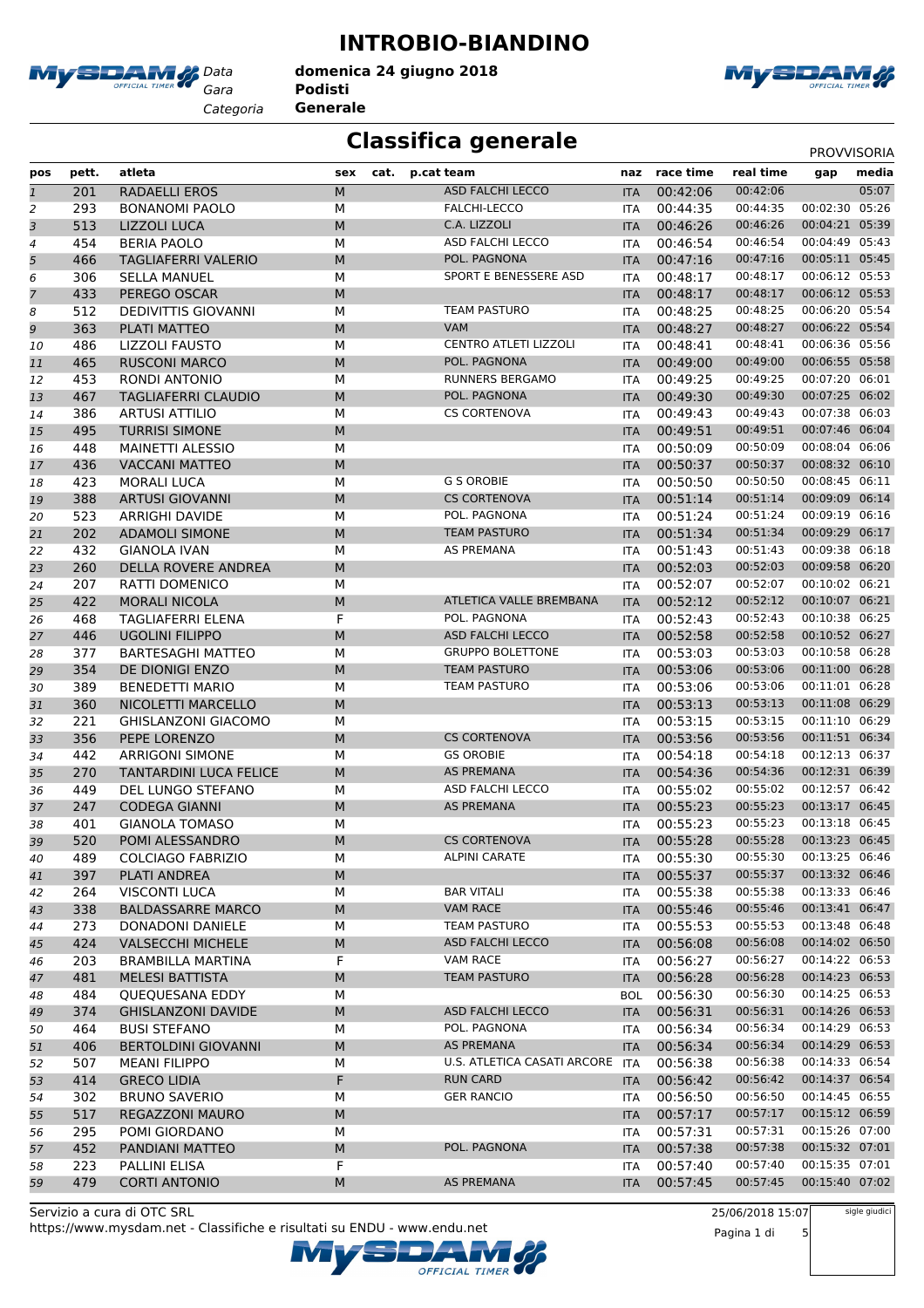

**INTROBIO-BIANDINO**

*Gara* **Podisti** *Categoria* **Generale domenica 24 giugno 2018**



### **Classifica generale** PROVISORIA

| pos            | pett. | atleta                     | cat.<br>sex | p.cat team                   | naz        | race time | real time | gap            | media |
|----------------|-------|----------------------------|-------------|------------------------------|------------|-----------|-----------|----------------|-------|
| $\overline{1}$ | 201   | <b>RADAELLI EROS</b>       | ${\sf M}$   | <b>ASD FALCHI LECCO</b>      | <b>ITA</b> | 00:42:06  | 00:42:06  |                | 05:07 |
| $\overline{c}$ | 293   | <b>BONANOMI PAOLO</b>      | М           | FALCHI-LECCO                 | <b>ITA</b> | 00:44:35  | 00:44:35  | 00:02:30       | 05:26 |
| 3              | 513   | <b>LIZZOLI LUCA</b>        | M           | C.A. LIZZOLI                 | <b>ITA</b> | 00:46:26  | 00:46:26  | 00:04:21 05:39 |       |
| 4              | 454   | <b>BERIA PAOLO</b>         | M           | <b>ASD FALCHI LECCO</b>      | <b>ITA</b> | 00:46:54  | 00:46:54  | 00:04:49 05:43 |       |
| 5              | 466   | <b>TAGLIAFERRI VALERIO</b> | M           | POL. PAGNONA                 | <b>ITA</b> | 00:47:16  | 00:47:16  | 00:05:11 05:45 |       |
| 6              | 306   | <b>SELLA MANUEL</b>        | М           | SPORT E BENESSERE ASD        | ITA        | 00:48:17  | 00:48:17  | 00:06:12 05:53 |       |
| 7              | 433   | PEREGO OSCAR               | M           |                              | <b>ITA</b> | 00:48:17  | 00:48:17  | 00:06:12 05:53 |       |
| 8              | 512   | <b>DEDIVITTIS GIOVANNI</b> | M           | <b>TEAM PASTURO</b>          | <b>ITA</b> | 00:48:25  | 00:48:25  | 00:06:20 05:54 |       |
| 9              | 363   | PLATI MATTEO               | M           | <b>VAM</b>                   | <b>ITA</b> | 00:48:27  | 00:48:27  | 00:06:22 05:54 |       |
| 10             | 486   | LIZZOLI FAUSTO             | M           | <b>CENTRO ATLETI LIZZOLI</b> | <b>ITA</b> | 00:48:41  | 00:48:41  | 00:06:36 05:56 |       |
| 11             | 465   | <b>RUSCONI MARCO</b>       | M           | POL. PAGNONA                 | <b>ITA</b> | 00:49:00  | 00:49:00  | 00:06:55 05:58 |       |
| 12             | 453   | <b>RONDI ANTONIO</b>       | М           | <b>RUNNERS BERGAMO</b>       | ITA        | 00:49:25  | 00:49:25  | 00:07:20 06:01 |       |
| 13             | 467   | <b>TAGLIAFERRI CLAUDIO</b> | M           | POL. PAGNONA                 | <b>ITA</b> | 00:49:30  | 00:49:30  | 00:07:25       | 06:02 |
| 14             | 386   | <b>ARTUSI ATTILIO</b>      | M           | <b>CS CORTENOVA</b>          | <b>ITA</b> | 00:49:43  | 00:49:43  | 00:07:38       | 06:03 |
| 15             | 495   | <b>TURRISI SIMONE</b>      | M           |                              | <b>ITA</b> | 00:49:51  | 00:49:51  | 00:07:46 06:04 |       |
| 16             | 448   | <b>MAINETTI ALESSIO</b>    | M           |                              | <b>ITA</b> | 00:50:09  | 00:50:09  | 00:08:04 06:06 |       |
| 17             | 436   | <b>VACCANI MATTEO</b>      | M           |                              | <b>ITA</b> | 00:50:37  | 00:50:37  | 00:08:32 06:10 |       |
| 18             | 423   | <b>MORALI LUCA</b>         | М           | <b>G S OROBIE</b>            | ITA        | 00:50:50  | 00:50:50  | 00:08:45 06:11 |       |
|                | 388   | <b>ARTUSI GIOVANNI</b>     | M           | <b>CS CORTENOVA</b>          | <b>ITA</b> | 00:51:14  | 00:51:14  | 00:09:09 06:14 |       |
| 19             |       | ARRIGHI DAVIDE             | M           | POL. PAGNONA                 |            | 00:51:24  | 00:51:24  | 00:09:19       | 06:16 |
| 20             | 523   |                            |             |                              | <b>ITA</b> |           |           | 00:09:29 06:17 |       |
| 21             | 202   | <b>ADAMOLI SIMONE</b>      | M           | <b>TEAM PASTURO</b>          | <b>ITA</b> | 00:51:34  | 00:51:34  | 00:09:38 06:18 |       |
| 22             | 432   | <b>GIANOLA IVAN</b>        | M           | <b>AS PREMANA</b>            | <b>ITA</b> | 00:51:43  | 00:51:43  |                |       |
| 23             | 260   | <b>DELLA ROVERE ANDREA</b> | M           |                              | <b>ITA</b> | 00:52:03  | 00:52:03  | 00:09:58 06:20 |       |
| 24             | 207   | RATTI DOMENICO             | М           |                              | ITA        | 00:52:07  | 00:52:07  | 00:10:02 06:21 |       |
| 25             | 422   | <b>MORALI NICOLA</b>       | M           | ATLETICA VALLE BREMBANA      | <b>ITA</b> | 00:52:12  | 00:52:12  | 00:10:07 06:21 |       |
| 26             | 468   | <b>TAGLIAFERRI ELENA</b>   | F           | POL. PAGNONA                 | <b>ITA</b> | 00:52:43  | 00:52:43  | 00:10:38 06:25 |       |
| 27             | 446   | <b>UGOLINI FILIPPO</b>     | M           | <b>ASD FALCHI LECCO</b>      | <b>ITA</b> | 00:52:58  | 00:52:58  | 00:10:52 06:27 |       |
| 28             | 377   | <b>BARTESAGHI MATTEO</b>   | M           | <b>GRUPPO BOLETTONE</b>      | <b>ITA</b> | 00:53:03  | 00:53:03  | 00:10:58 06:28 |       |
| 29             | 354   | DE DIONIGI ENZO            | M           | <b>TEAM PASTURO</b>          | <b>ITA</b> | 00:53:06  | 00:53:06  | 00:11:00 06:28 |       |
| 30             | 389   | <b>BENEDETTI MARIO</b>     | М           | <b>TEAM PASTURO</b>          | ITA        | 00:53:06  | 00:53:06  | 00:11:01 06:28 |       |
| 31             | 360   | NICOLETTI MARCELLO         | M           |                              | <b>ITA</b> | 00:53:13  | 00:53:13  | 00:11:08 06:29 |       |
| 32             | 221   | <b>GHISLANZONI GIACOMO</b> | M           |                              | <b>ITA</b> | 00:53:15  | 00:53:15  | 00:11:10 06:29 |       |
| 33             | 356   | PEPE LORENZO               | M           | <b>CS CORTENOVA</b>          | <b>ITA</b> | 00:53:56  | 00:53:56  | 00:11:51 06:34 |       |
| 34             | 442   | <b>ARRIGONI SIMONE</b>     | М           | <b>GS OROBIE</b>             | <b>ITA</b> | 00:54:18  | 00:54:18  | 00:12:13 06:37 |       |
| 35             | 270   | TANTARDINI LUCA FELICE     | M           | <b>AS PREMANA</b>            | <b>ITA</b> | 00:54:36  | 00:54:36  | 00:12:31 06:39 |       |
| 36             | 449   | DEL LUNGO STEFANO          | М           | ASD FALCHI LECCO             | ITA        | 00:55:02  | 00:55:02  | 00:12:57 06:42 |       |
| 37             | 247   | <b>CODEGA GIANNI</b>       | M           | <b>AS PREMANA</b>            | <b>ITA</b> | 00:55:23  | 00:55:23  | 00:13:17       | 06:45 |
| 38             | 401   | <b>GIANOLA TOMASO</b>      | М           |                              | <b>ITA</b> | 00:55:23  | 00:55:23  | 00:13:18       | 06:45 |
| 39             | 520   | POMI ALESSANDRO            | M           | <b>CS CORTENOVA</b>          | <b>ITA</b> | 00:55:28  | 00:55:28  | 00:13:23 06:45 |       |
| 40             | 489   | <b>COLCIAGO FABRIZIO</b>   | М           | <b>ALPINI CARATE</b>         | ITA        | 00:55:30  | 00:55:30  | 00:13:25 06:46 |       |
| 41             | 397   | PLATI ANDREA               | M           |                              | <b>ITA</b> | 00:55:37  | 00:55:37  | 00:13:32 06:46 |       |
| 42             | 264   | <b>VISCONTI LUCA</b>       | М           | <b>BAR VITALI</b>            | ITA        | 00:55:38  | 00:55:38  | 00:13:33 06:46 |       |
| 43             | 338   | <b>BALDASSARRE MARCO</b>   | M           | <b>VAM RACE</b>              | <b>ITA</b> | 00:55:46  | 00:55:46  | 00:13:41 06:47 |       |
| 44             | 273   | <b>DONADONI DANIELE</b>    | М           | TEAM PASTURO                 | ITA        | 00:55:53  | 00:55:53  | 00:13:48 06:48 |       |
| 45             | 424   | <b>VALSECCHI MICHELE</b>   | M           | ASD FALCHI LECCO             | <b>ITA</b> | 00:56:08  | 00:56:08  | 00:14:02 06:50 |       |
|                | 203   | <b>BRAMBILLA MARTINA</b>   | F           | VAM RACE                     |            | 00:56:27  | 00:56:27  | 00:14:22 06:53 |       |
| 46             |       | <b>MELESI BATTISTA</b>     |             |                              | ITA        | 00:56:28  | 00:56:28  | 00:14:23 06:53 |       |
| 47             | 481   |                            | M           | TEAM PASTURO                 | <b>ITA</b> |           |           |                |       |
| 48             | 484   | QUEQUESANA EDDY            | М           | <b>ASD FALCHI LECCO</b>      | <b>BOL</b> | 00:56:30  | 00:56:30  | 00:14:25 06:53 |       |
| 49             | 374   | <b>GHISLANZONI DAVIDE</b>  | M           |                              | <b>ITA</b> | 00:56:31  | 00:56:31  | 00:14:26 06:53 |       |
| 50             | 464   | <b>BUSI STEFANO</b>        | М           | POL. PAGNONA                 | ITA        | 00:56:34  | 00:56:34  | 00:14:29 06:53 |       |
| 51             | 406   | <b>BERTOLDINI GIOVANNI</b> | M           | AS PREMANA                   | <b>ITA</b> | 00:56:34  | 00:56:34  | 00:14:29 06:53 |       |
| 52             | 507   | <b>MEANI FILIPPO</b>       | М           | U.S. ATLETICA CASATI ARCORE  | ITA        | 00:56:38  | 00:56:38  | 00:14:33 06:54 |       |
| 53             | 414   | <b>GRECO LIDIA</b>         | F           | <b>RUN CARD</b>              | <b>ITA</b> | 00:56:42  | 00:56:42  | 00:14:37 06:54 |       |
| 54             | 302   | <b>BRUNO SAVERIO</b>       | М           | <b>GER RANCIO</b>            | ITA        | 00:56:50  | 00:56:50  | 00:14:45 06:55 |       |
| 55             | 517   | REGAZZONI MAURO            | M           |                              | <b>ITA</b> | 00:57:17  | 00:57:17  | 00:15:12 06:59 |       |
| 56             | 295   | POMI GIORDANO              | М           |                              | <b>ITA</b> | 00:57:31  | 00:57:31  | 00:15:26 07:00 |       |
| 57             | 452   | PANDIANI MATTEO            | M           | POL. PAGNONA                 | <b>ITA</b> | 00:57:38  | 00:57:38  | 00:15:32 07:01 |       |
| 58             | 223   | PALLINI ELISA              | F           |                              | ITA        | 00:57:40  | 00:57:40  | 00:15:35 07:01 |       |
| 59             | 479   | <b>CORTI ANTONIO</b>       | M           | AS PREMANA                   | <b>ITA</b> | 00:57:45  | 00:57:45  | 00:15:40 07:02 |       |
|                |       |                            |             |                              |            |           |           |                |       |

https://www.mysdam.net - Classifiche e risultati su ENDU - www.endu.net Servizio a cura di OTC SRL

25/06/2018 15:07 Pagina 1 di 5 sigle giudici

OFFICIAL TIMER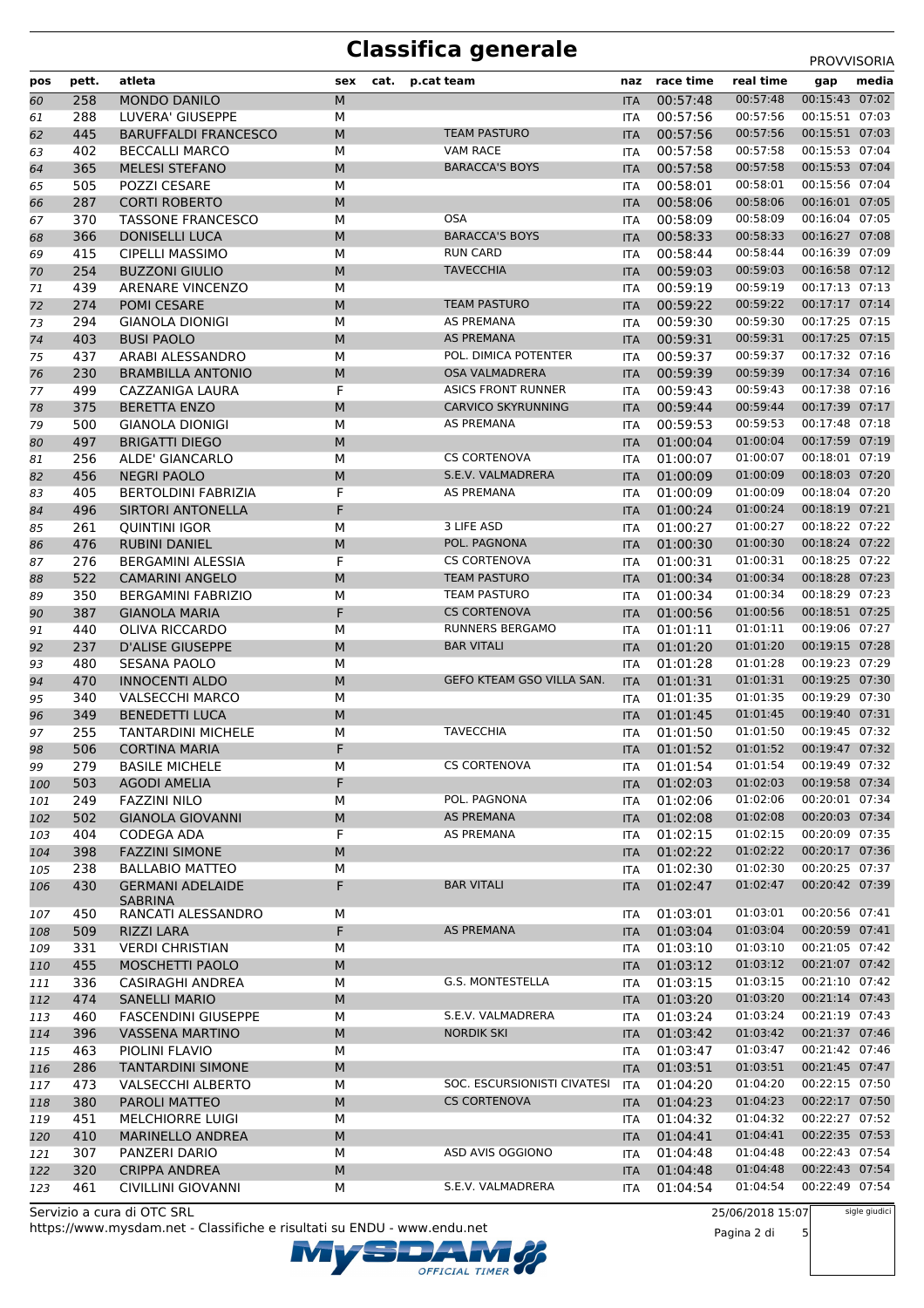# **Classifica generale** PROVVISORIA

| pos        | pett.      | atleta                                          | sex       | cat. | p.cat team                          | naz                      | race time            | real time                   | gap                              | media |
|------------|------------|-------------------------------------------------|-----------|------|-------------------------------------|--------------------------|----------------------|-----------------------------|----------------------------------|-------|
| 60         | 258        | <b>MONDO DANILO</b>                             | M         |      |                                     | <b>ITA</b>               | 00:57:48             | 00:57:48                    | 00:15:43 07:02                   |       |
| 61         | 288        | LUVERA' GIUSEPPE                                | М         |      |                                     | ITA                      | 00:57:56             | 00:57:56                    | 00:15:51 07:03                   |       |
| 62         | 445        | <b>BARUFFALDI FRANCESCO</b>                     | M         |      | <b>TEAM PASTURO</b>                 | <b>ITA</b>               | 00:57:56             | 00:57:56                    | 00:15:51 07:03                   |       |
| 63         | 402        | <b>BECCALLI MARCO</b>                           | M         |      | <b>VAM RACE</b>                     | <b>ITA</b>               | 00:57:58             | 00:57:58                    | 00:15:53 07:04                   |       |
| 64         | 365        | <b>MELESI STEFANO</b>                           | M         |      | <b>BARACCA'S BOYS</b>               | <b>ITA</b>               | 00:57:58             | 00:57:58                    | 00:15:53 07:04                   |       |
| 65         | 505        | POZZI CESARE                                    | M         |      |                                     | ITA                      | 00:58:01             | 00:58:01                    | 00:15:56 07:04                   |       |
| 66         | 287        | <b>CORTI ROBERTO</b>                            | M         |      |                                     | <b>ITA</b>               | 00:58:06             | 00:58:06                    | 00:16:01 07:05                   |       |
| 67         | 370        | <b>TASSONE FRANCESCO</b>                        | М         |      | <b>OSA</b><br><b>BARACCA'S BOYS</b> | <b>ITA</b>               | 00:58:09             | 00:58:09<br>00:58:33        | 00:16:04 07:05<br>00:16:27 07:08 |       |
| 68         | 366<br>415 | <b>DONISELLI LUCA</b><br><b>CIPELLI MASSIMO</b> | M<br>M    |      | <b>RUN CARD</b>                     | <b>ITA</b><br><b>ITA</b> | 00:58:33<br>00:58:44 | 00:58:44                    | 00:16:39 07:09                   |       |
| 69<br>70   | 254        | <b>BUZZONI GIULIO</b>                           | M         |      | <b>TAVECCHIA</b>                    | <b>ITA</b>               | 00:59:03             | 00:59:03                    | 00:16:58 07:12                   |       |
| 71         | 439        | ARENARE VINCENZO                                | M         |      |                                     | <b>ITA</b>               | 00:59:19             | 00:59:19                    | 00:17:13 07:13                   |       |
| 72         | 274        | POMI CESARE                                     | M         |      | <b>TEAM PASTURO</b>                 | <b>ITA</b>               | 00:59:22             | 00:59:22                    | 00:17:17 07:14                   |       |
| 73         | 294        | <b>GIANOLA DIONIGI</b>                          | M         |      | AS PREMANA                          | ITA                      | 00:59:30             | 00:59:30                    | 00:17:25 07:15                   |       |
| 74         | 403        | <b>BUSI PAOLO</b>                               | M         |      | <b>AS PREMANA</b>                   | <b>ITA</b>               | 00:59:31             | 00:59:31                    | 00:17:25 07:15                   |       |
| 75         | 437        | ARABI ALESSANDRO                                | M         |      | POL. DIMICA POTENTER                | <b>ITA</b>               | 00:59:37             | 00:59:37                    | 00:17:32 07:16                   |       |
| 76         | 230        | <b>BRAMBILLA ANTONIO</b>                        | M         |      | <b>OSA VALMADRERA</b>               | <b>ITA</b>               | 00:59:39             | 00:59:39                    | 00:17:34 07:16                   |       |
| 77         | 499        | CAZZANIGA LAURA                                 | F         |      | <b>ASICS FRONT RUNNER</b>           | ITA                      | 00:59:43             | 00:59:43                    | 00:17:38 07:16                   |       |
| 78         | 375        | <b>BERETTA ENZO</b>                             | M         |      | <b>CARVICO SKYRUNNING</b>           | <b>ITA</b>               | 00:59:44             | 00:59:44                    | 00:17:39 07:17                   |       |
| 79         | 500        | <b>GIANOLA DIONIGI</b>                          | М         |      | AS PREMANA                          | <b>ITA</b>               | 00:59:53             | 00:59:53                    | 00:17:48 07:18                   |       |
| 80         | 497        | <b>BRIGATTI DIEGO</b>                           | M         |      |                                     | <b>ITA</b>               | 01:00:04             | 01:00:04                    | 00:17:59 07:19                   |       |
| 81         | 256        | ALDE' GIANCARLO                                 | M         |      | <b>CS CORTENOVA</b>                 | <b>ITA</b>               | 01:00:07             | 01:00:07                    | 00:18:01 07:19                   |       |
| 82         | 456        | <b>NEGRI PAOLO</b>                              | M         |      | S.E.V. VALMADRERA                   | <b>ITA</b>               | 01:00:09             | 01:00:09                    | 00:18:03 07:20                   |       |
| 83         | 405        | <b>BERTOLDINI FABRIZIA</b>                      | F         |      | AS PREMANA                          | <b>ITA</b>               | 01:00:09             | 01:00:09                    | 00:18:04 07:20                   |       |
| 84         | 496        | <b>SIRTORI ANTONELLA</b>                        | F         |      |                                     | <b>ITA</b>               | 01:00:24             | 01:00:24                    | 00:18:19 07:21                   |       |
| 85         | 261        | QUINTINI IGOR                                   | М         |      | 3 LIFE ASD                          | <b>ITA</b>               | 01:00:27             | 01:00:27                    | 00:18:22 07:22                   |       |
| 86         | 476        | <b>RUBINI DANIEL</b>                            | M         |      | POL. PAGNONA                        | <b>ITA</b>               | 01:00:30             | 01:00:30                    | 00:18:24 07:22                   |       |
| 87         | 276        | BERGAMINI ALESSIA                               | F         |      | <b>CS CORTENOVA</b>                 | <b>ITA</b>               | 01:00:31             | 01:00:31                    | 00:18:25 07:22                   |       |
| 88         | 522        | <b>CAMARINI ANGELO</b>                          | M         |      | <b>TEAM PASTURO</b>                 | <b>ITA</b>               | 01:00:34             | 01:00:34                    | 00:18:28 07:23                   |       |
| 89         | 350        | <b>BERGAMINI FABRIZIO</b>                       | M         |      | <b>TEAM PASTURO</b>                 | ITA                      | 01:00:34             | 01:00:34                    | 00:18:29 07:23                   |       |
| 90         | 387        | <b>GIANOLA MARIA</b>                            | F         |      | <b>CS CORTENOVA</b>                 | <b>ITA</b>               | 01:00:56             | 01:00:56                    | 00:18:51 07:25                   |       |
| 91         | 440        | OLIVA RICCARDO                                  | М         |      | RUNNERS BERGAMO                     | <b>ITA</b>               | 01:01:11             | 01:01:11                    | 00:19:06 07:27                   |       |
| 92         | 237        | <b>D'ALISE GIUSEPPE</b>                         | M         |      | <b>BAR VITALI</b>                   | <b>ITA</b>               | 01:01:20             | 01:01:20                    | 00:19:15 07:28<br>00:19:23 07:29 |       |
| 93         | 480<br>470 | <b>SESANA PAOLO</b><br><b>INNOCENTI ALDO</b>    | M<br>M    |      | GEFO KTEAM GSO VILLA SAN.           | ITA                      | 01:01:28<br>01:01:31 | 01:01:28<br>01:01:31        | 00:19:25 07:30                   |       |
| 94         | 340        | <b>VALSECCHI MARCO</b>                          | M         |      |                                     | <b>ITA</b>               | 01:01:35             | 01:01:35                    | 00:19:29 07:30                   |       |
| 95<br>96   | 349        | <b>BENEDETTI LUCA</b>                           | M         |      |                                     | <b>ITA</b><br><b>ITA</b> | 01:01:45             | 01:01:45                    | 00:19:40 07:31                   |       |
| 97         | 255        | <b>TANTARDINI MICHELE</b>                       | М         |      | <b>TAVECCHIA</b>                    | <b>ITA</b>               | 01:01:50             | 01:01:50                    | 00:19:45 07:32                   |       |
| 98         | 506        | <b>CORTINA MARIA</b>                            | F         |      |                                     | <b>ITA</b>               | 01:01:52             | 01:01:52                    | 00:19:47 07:32                   |       |
| 99         | 279        | <b>BASILE MICHELE</b>                           | М         |      | <b>CS CORTENOVA</b>                 | <b>ITA</b>               | 01:01:54             | 01:01:54   00:19:49   07:32 |                                  |       |
| 100        | 503        | <b>AGODI AMELIA</b>                             | F         |      |                                     | <b>ITA</b>               | 01:02:03             | 01:02:03                    | 00:19:58 07:34                   |       |
| 101        | 249        | <b>FAZZINI NILO</b>                             | М         |      | POL. PAGNONA                        | <b>ITA</b>               | 01:02:06             | 01:02:06                    | 00:20:01 07:34                   |       |
| 102        | 502        | <b>GIANOLA GIOVANNI</b>                         | М         |      | AS PREMANA                          | <b>ITA</b>               | 01:02:08             | 01:02:08                    | 00:20:03 07:34                   |       |
| 103        | 404        | CODEGA ADA                                      | F         |      | AS PREMANA                          | <b>ITA</b>               | 01:02:15             | 01:02:15                    | 00:20:09 07:35                   |       |
| 104        | 398        | <b>FAZZINI SIMONE</b>                           | М         |      |                                     | <b>ITA</b>               | 01:02:22             | 01:02:22                    | 00:20:17 07:36                   |       |
| 105        | 238        | <b>BALLABIO MATTEO</b>                          | М         |      |                                     | <b>ITA</b>               | 01:02:30             | 01:02:30                    | 00:20:25 07:37                   |       |
| 106        | 430        | <b>GERMANI ADELAIDE</b>                         | F         |      | <b>BAR VITALI</b>                   | <b>ITA</b>               | 01:02:47             | 01:02:47                    | 00:20:42 07:39                   |       |
|            |            | <b>SABRINA</b>                                  |           |      |                                     |                          |                      | 01:03:01                    | 00:20:56 07:41                   |       |
| 107        | 450        | RANCATI ALESSANDRO                              | М         |      | AS PREMANA                          | ITA                      | 01:03:01             | 01:03:04                    | 00:20:59 07:41                   |       |
| 108        | 509<br>331 | <b>RIZZI LARA</b><br><b>VERDI CHRISTIAN</b>     | F<br>М    |      |                                     | <b>ITA</b>               | 01:03:04<br>01:03:10 | 01:03:10                    | 00:21:05 07:42                   |       |
| 109<br>110 | 455        | MOSCHETTI PAOLO                                 | M         |      |                                     | ITA<br><b>ITA</b>        | 01:03:12             | 01:03:12                    | 00:21:07 07:42                   |       |
| 111        | 336        | CASIRAGHI ANDREA                                | М         |      | G.S. MONTESTELLA                    | <b>ITA</b>               | 01:03:15             | 01:03:15                    | 00:21:10 07:42                   |       |
| 112        | 474        | <b>SANELLI MARIO</b>                            | М         |      |                                     | <b>ITA</b>               | 01:03:20             | 01:03:20                    | 00:21:14 07:43                   |       |
| 113        | 460        | <b>FASCENDINI GIUSEPPE</b>                      | М         |      | S.E.V. VALMADRERA                   | <b>ITA</b>               | 01:03:24             | 01:03:24                    | 00:21:19 07:43                   |       |
| 114        | 396        | <b>VASSENA MARTINO</b>                          | ${\sf M}$ |      | <b>NORDIK SKI</b>                   | <b>ITA</b>               | 01:03:42             | 01:03:42                    | 00:21:37 07:46                   |       |
| 115        | 463        | PIOLINI FLAVIO                                  | М         |      |                                     | ITA                      | 01:03:47             | 01:03:47                    | 00:21:42 07:46                   |       |
| 116        | 286        | TANTARDINI SIMONE                               | М         |      |                                     | <b>ITA</b>               | 01:03:51             | 01:03:51                    | 00:21:45 07:47                   |       |
| 117        | 473        | <b>VALSECCHI ALBERTO</b>                        | М         |      | SOC. ESCURSIONISTI CIVATESI         | ITA                      | 01:04:20             | 01:04:20                    | 00:22:15 07:50                   |       |
| 118        | 380        | PAROLI MATTEO                                   | М         |      | <b>CS CORTENOVA</b>                 | <b>ITA</b>               | 01:04:23             | 01:04:23                    | 00:22:17 07:50                   |       |
| 119        | 451        | <b>MELCHIORRE LUIGI</b>                         | М         |      |                                     | ITA                      | 01:04:32             | 01:04:32                    | 00:22:27 07:52                   |       |
| 120        | 410        | <b>MARINELLO ANDREA</b>                         | М         |      |                                     | <b>ITA</b>               | 01:04:41             | 01:04:41                    | 00:22:35 07:53                   |       |
| 121        | 307        | PANZERI DARIO                                   | М         |      | ASD AVIS OGGIONO                    | <b>ITA</b>               | 01:04:48             | 01:04:48                    | 00:22:43 07:54                   |       |
| 122        | 320        | <b>CRIPPA ANDREA</b>                            | M         |      |                                     | <b>ITA</b>               | 01:04:48             | 01:04:48                    | 00:22:43 07:54                   |       |
| 123        | 461        | <b>CIVILLINI GIOVANNI</b>                       | М         |      | S.E.V. VALMADRERA                   | ITA                      | 01:04:54             | 01:04:54                    | 00:22:49 07:54                   |       |

OFFICIAL TIMER

https://www.mysdam.net - Classifiche e risultati su ENDU - www.endu.net Servizio a cura di OTC SRL

25/06/2018 15:07

Pagina 2 di 5

sigle giudici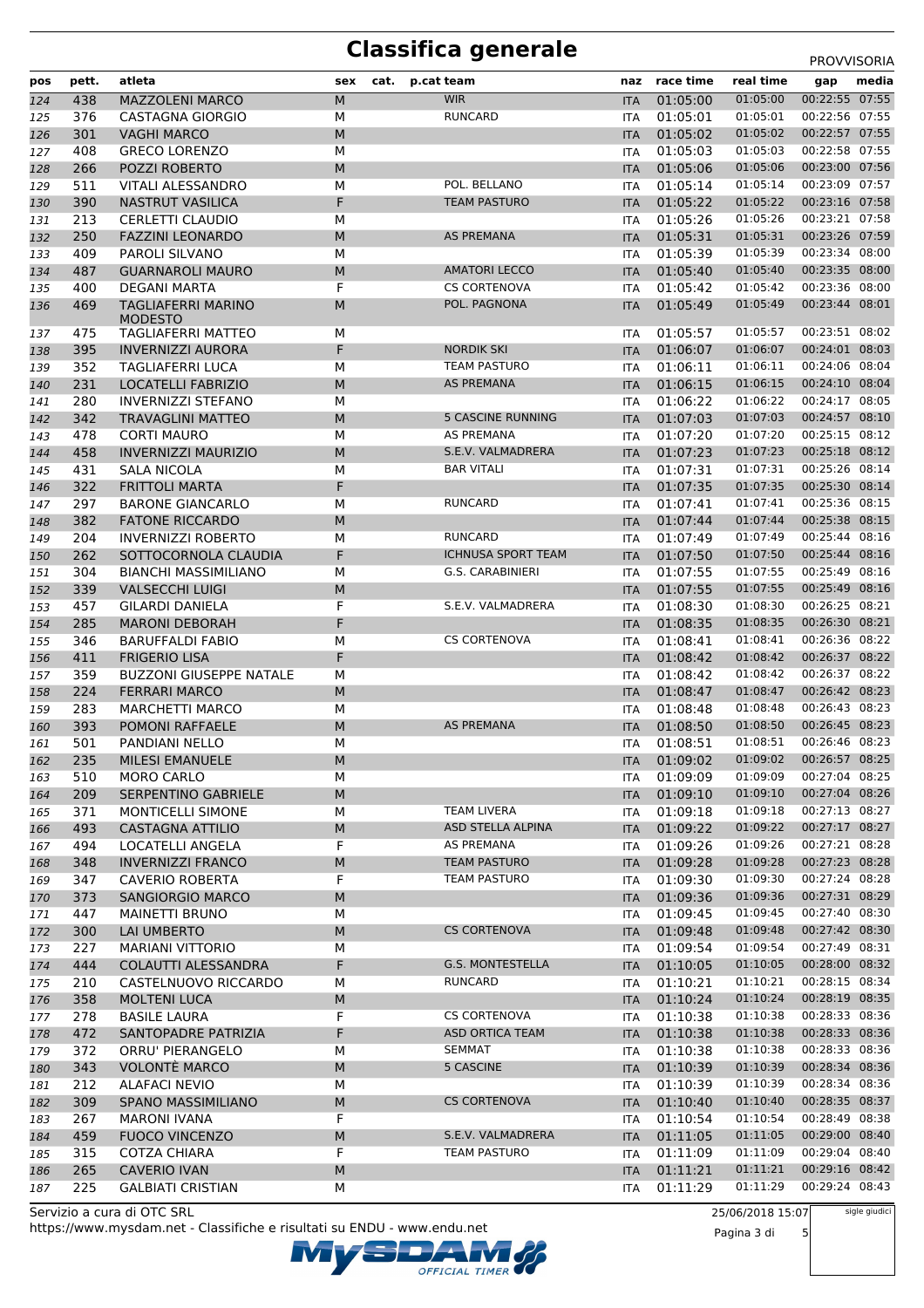# **Classifica generale** PROVVISORIA

| pos        | pett. | atleta                                      | sex       | cat. | p.cat team                | naz               | race time | real time | gap            | media |
|------------|-------|---------------------------------------------|-----------|------|---------------------------|-------------------|-----------|-----------|----------------|-------|
| 124        | 438   | <b>MAZZOLENI MARCO</b>                      | М         |      | <b>WIR</b>                | <b>ITA</b>        | 01:05:00  | 01:05:00  | 00:22:55 07:55 |       |
| 125        | 376   | <b>CASTAGNA GIORGIO</b>                     | М         |      | <b>RUNCARD</b>            | ITA               | 01:05:01  | 01:05:01  | 00:22:56 07:55 |       |
| 126        | 301   | <b>VAGHI MARCO</b>                          | M         |      |                           | <b>ITA</b>        | 01:05:02  | 01:05:02  | 00:22:57 07:55 |       |
| 127        | 408   | <b>GRECO LORENZO</b>                        | М         |      |                           | <b>ITA</b>        | 01:05:03  | 01:05:03  | 00:22:58 07:55 |       |
| 128        | 266   | <b>POZZI ROBERTO</b>                        | M         |      |                           | <b>ITA</b>        | 01:05:06  | 01:05:06  | 00:23:00 07:56 |       |
| 129        | 511   | <b>VITALI ALESSANDRO</b>                    | М         |      | POL. BELLANO              | ITA               | 01:05:14  | 01:05:14  | 00:23:09 07:57 |       |
| 130        | 390   | <b>NASTRUT VASILICA</b>                     | F         |      | <b>TEAM PASTURO</b>       | <b>ITA</b>        | 01:05:22  | 01:05:22  | 00:23:16 07:58 |       |
| 131        | 213   | CERLETTI CLAUDIO                            | М         |      |                           | ITA               | 01:05:26  | 01:05:26  | 00:23:21 07:58 |       |
| 132        | 250   | <b>FAZZINI LEONARDO</b>                     | M         |      | AS PREMANA                | <b>ITA</b>        | 01:05:31  | 01:05:31  | 00:23:26 07:59 |       |
| 133        | 409   | PAROLI SILVANO                              | М         |      |                           | ITA               | 01:05:39  | 01:05:39  | 00:23:34 08:00 |       |
| 134        | 487   | <b>GUARNAROLI MAURO</b>                     | M         |      | <b>AMATORI LECCO</b>      | <b>ITA</b>        | 01:05:40  | 01:05:40  | 00:23:35 08:00 |       |
| 135        | 400   | DEGANI MARTA                                | F         |      | <b>CS CORTENOVA</b>       | ITA               | 01:05:42  | 01:05:42  | 00:23:36 08:00 |       |
| 136        | 469   | <b>TAGLIAFERRI MARINO</b><br><b>MODESTO</b> | M         |      | POL. PAGNONA              | <b>ITA</b>        | 01:05:49  | 01:05:49  | 00:23:44 08:01 |       |
| 137        | 475   | <b>TAGLIAFERRI MATTEO</b>                   | М         |      |                           | ITA               | 01:05:57  | 01:05:57  | 00:23:51 08:02 |       |
| 138        | 395   | <b>INVERNIZZI AURORA</b>                    | F         |      | <b>NORDIK SKI</b>         | <b>ITA</b>        | 01:06:07  | 01:06:07  | 00:24:01 08:03 |       |
| 139        | 352   | <b>TAGLIAFERRI LUCA</b>                     | М         |      | <b>TEAM PASTURO</b>       | ITA               | 01:06:11  | 01:06:11  | 00:24:06 08:04 |       |
| 140        | 231   | LOCATELLI FABRIZIO                          | М         |      | AS PREMANA                | <b>ITA</b>        | 01:06:15  | 01:06:15  | 00:24:10 08:04 |       |
| 141        | 280   | <b>INVERNIZZI STEFANO</b>                   | M         |      |                           | ITA               | 01:06:22  | 01:06:22  | 00:24:17 08:05 |       |
| 142        | 342   | <b>TRAVAGLINI MATTEO</b>                    | M         |      | <b>5 CASCINE RUNNING</b>  | <b>ITA</b>        | 01:07:03  | 01:07:03  | 00:24:57 08:10 |       |
| 143        | 478   | <b>CORTI MAURO</b>                          | М         |      | AS PREMANA                | ITA               | 01:07:20  | 01:07:20  | 00:25:15 08:12 |       |
| 144        | 458   | <b>INVERNIZZI MAURIZIO</b>                  | M         |      | S.E.V. VALMADRERA         | <b>ITA</b>        | 01:07:23  | 01:07:23  | 00:25:18 08:12 |       |
| 145        | 431   | SALA NICOLA                                 | М         |      | <b>BAR VITALI</b>         | ITA               | 01:07:31  | 01:07:31  | 00:25:26 08:14 |       |
| 146        | 322   | <b>FRITTOLI MARTA</b>                       | F         |      |                           | <b>ITA</b>        | 01:07:35  | 01:07:35  | 00:25:30 08:14 |       |
| 147        | 297   | <b>BARONE GIANCARLO</b>                     | М         |      | RUNCARD                   | ITA               | 01:07:41  | 01:07:41  | 00:25:36 08:15 |       |
| 148        | 382   | <b>FATONE RICCARDO</b>                      | M         |      |                           | <b>ITA</b>        | 01:07:44  | 01:07:44  | 00:25:38 08:15 |       |
| 149        | 204   | <b>INVERNIZZI ROBERTO</b>                   | М         |      | <b>RUNCARD</b>            | ITA               | 01:07:49  | 01:07:49  | 00:25:44 08:16 |       |
| 150        | 262   | SOTTOCORNOLA CLAUDIA                        | F         |      | <b>ICHNUSA SPORT TEAM</b> | <b>ITA</b>        | 01:07:50  | 01:07:50  | 00:25:44 08:16 |       |
| 151        | 304   | <b>BIANCHI MASSIMILIANO</b>                 | М         |      | G.S. CARABINIERI          | ITA               | 01:07:55  | 01:07:55  | 00:25:49 08:16 |       |
| 152        | 339   | <b>VALSECCHI LUIGI</b>                      | М         |      |                           | <b>ITA</b>        | 01:07:55  | 01:07:55  | 00:25:49 08:16 |       |
| 153        | 457   | <b>GILARDI DANIELA</b>                      | F         |      | S.E.V. VALMADRERA         | ITA               | 01:08:30  | 01:08:30  | 00:26:25 08:21 |       |
| 154        | 285   | <b>MARONI DEBORAH</b>                       | F         |      |                           | <b>ITA</b>        | 01:08:35  | 01:08:35  | 00:26:30 08:21 |       |
| 155        | 346   | <b>BARUFFALDI FABIO</b>                     | М         |      | <b>CS CORTENOVA</b>       | ITA               | 01:08:41  | 01:08:41  | 00:26:36 08:22 |       |
| 156        | 411   | <b>FRIGERIO LISA</b>                        | F         |      |                           | <b>ITA</b>        | 01:08:42  | 01:08:42  | 00:26:37 08:22 |       |
| 157        | 359   | <b>BUZZONI GIUSEPPE NATALE</b>              | М         |      |                           | ITA               | 01:08:42  | 01:08:42  | 00:26:37 08:22 |       |
| 158        | 224   | <b>FERRARI MARCO</b>                        | М         |      |                           | <b>ITA</b>        | 01:08:47  | 01:08:47  | 00:26:42 08:23 |       |
|            | 283   | <b>MARCHETTI MARCO</b>                      | М         |      |                           | ITA               | 01:08:48  | 01:08:48  | 00:26:43 08:23 |       |
| 159<br>160 | 393   | POMONI RAFFAELE                             | M         |      | <b>AS PREMANA</b>         | <b>ITA</b>        | 01:08:50  | 01:08:50  | 00:26:45 08:23 |       |
| 161        | 501   | <b>PANDIANI NELLO</b>                       | M         |      |                           | ITA               | 01:08:51  | 01:08:51  | 00:26:46 08:23 |       |
|            | 235   | <b>MILESI EMANUELE</b>                      | M         |      |                           |                   | 01:09:02  | 01:09:02  | 00:26:57 08:25 |       |
| 162        | 510   | MORO CARLO                                  | М         |      |                           | <b>ITA</b>        | 01:09:09  | 01:09:09  | 00:27:04 08:25 |       |
| 163<br>164 | 209   | SERPENTINO GABRIELE                         | М         |      |                           | ITA<br><b>ITA</b> | 01:09:10  | 01:09:10  | 00:27:04 08:26 |       |
|            | 371   | <b>MONTICELLI SIMONE</b>                    | М         |      | <b>TEAM LIVERA</b>        |                   | 01:09:18  | 01:09:18  | 00:27:13 08:27 |       |
| 165<br>166 | 493   | <b>CASTAGNA ATTILIO</b>                     | M         |      | ASD STELLA ALPINA         | ITA<br><b>ITA</b> | 01:09:22  | 01:09:22  | 00:27:17 08:27 |       |
|            | 494   | LOCATELLI ANGELA                            | F         |      | AS PREMANA                |                   | 01:09:26  | 01:09:26  | 00:27:21 08:28 |       |
| 167<br>168 | 348   | <b>INVERNIZZI FRANCO</b>                    | ${\sf M}$ |      | <b>TEAM PASTURO</b>       | ITA               | 01:09:28  | 01:09:28  | 00:27:23 08:28 |       |
|            |       | <b>CAVERIO ROBERTA</b>                      | F         |      | <b>TEAM PASTURO</b>       | <b>ITA</b>        |           | 01:09:30  | 00:27:24 08:28 |       |
| 169        | 347   |                                             |           |      |                           | <b>ITA</b>        | 01:09:30  | 01:09:36  | 00:27:31 08:29 |       |
| 170        | 373   | SANGIORGIO MARCO                            | ${\sf M}$ |      |                           | <b>ITA</b>        | 01:09:36  | 01:09:45  | 00:27:40 08:30 |       |
| 171        | 447   | <b>MAINETTI BRUNO</b>                       | М         |      | <b>CS CORTENOVA</b>       | ITA               | 01:09:45  |           | 00:27:42 08:30 |       |
| 172        | 300   | LAI UMBERTO                                 | M         |      |                           | <b>ITA</b>        | 01:09:48  | 01:09:48  |                |       |
| 173        | 227   | <b>MARIANI VITTORIO</b>                     | М         |      |                           | ITA               | 01:09:54  | 01:09:54  | 00:27:49 08:31 |       |
| 174        | 444   | COLAUTTI ALESSANDRA                         | F         |      | G.S. MONTESTELLA          | <b>ITA</b>        | 01:10:05  | 01:10:05  | 00:28:00 08:32 |       |
| 175        | 210   | CASTELNUOVO RICCARDO                        | М         |      | RUNCARD                   | <b>ITA</b>        | 01:10:21  | 01:10:21  | 00:28:15 08:34 |       |
| 176        | 358   | <b>MOLTENI LUCA</b>                         | ${\sf M}$ |      |                           | <b>ITA</b>        | 01:10:24  | 01:10:24  | 00:28:19 08:35 |       |
| 177        | 278   | <b>BASILE LAURA</b>                         | F         |      | <b>CS CORTENOVA</b>       | ITA               | 01:10:38  | 01:10:38  | 00:28:33 08:36 |       |
| 178        | 472   | SANTOPADRE PATRIZIA                         | F         |      | <b>ASD ORTICA TEAM</b>    | <b>ITA</b>        | 01:10:38  | 01:10:38  | 00:28:33 08:36 |       |
| 179        | 372   | ORRU' PIERANGELO                            | М         |      | <b>SEMMAT</b>             | ITA               | 01:10:38  | 01:10:38  | 00:28:33 08:36 |       |
| 180        | 343   | <b>VOLONTÈ MARCO</b>                        | М         |      | 5 CASCINE                 | <b>ITA</b>        | 01:10:39  | 01:10:39  | 00:28:34 08:36 |       |
| 181        | 212   | <b>ALAFACI NEVIO</b>                        | М         |      |                           | <b>ITA</b>        | 01:10:39  | 01:10:39  | 00:28:34 08:36 |       |
| 182        | 309   | SPANO MASSIMILIANO                          | М         |      | <b>CS CORTENOVA</b>       | <b>ITA</b>        | 01:10:40  | 01:10:40  | 00:28:35 08:37 |       |
| 183        | 267   | <b>MARONI IVANA</b>                         | F         |      |                           | ITA               | 01:10:54  | 01:10:54  | 00:28:49 08:38 |       |
| 184        | 459   | <b>FUOCO VINCENZO</b>                       | M         |      | S.E.V. VALMADRERA         | <b>ITA</b>        | 01:11:05  | 01:11:05  | 00:29:00 08:40 |       |
| 185        | 315   | <b>COTZA CHIARA</b>                         | F         |      | <b>TEAM PASTURO</b>       | <b>ITA</b>        | 01:11:09  | 01:11:09  | 00:29:04 08:40 |       |
| 186        | 265   | <b>CAVERIO IVAN</b>                         | M         |      |                           | <b>ITA</b>        | 01:11:21  | 01:11:21  | 00:29:16 08:42 |       |
| 187        | 225   | <b>GALBIATI CRISTIAN</b>                    | М         |      |                           | ITA               | 01:11:29  | 01:11:29  | 00:29:24 08:43 |       |

OFFICIAL TIMER

https://www.mysdam.net - Classifiche e risultati su ENDU - www.endu.net Servizio a cura di OTC SRL

25/06/2018 15:07

Pagina 3 di 5

sigle giudici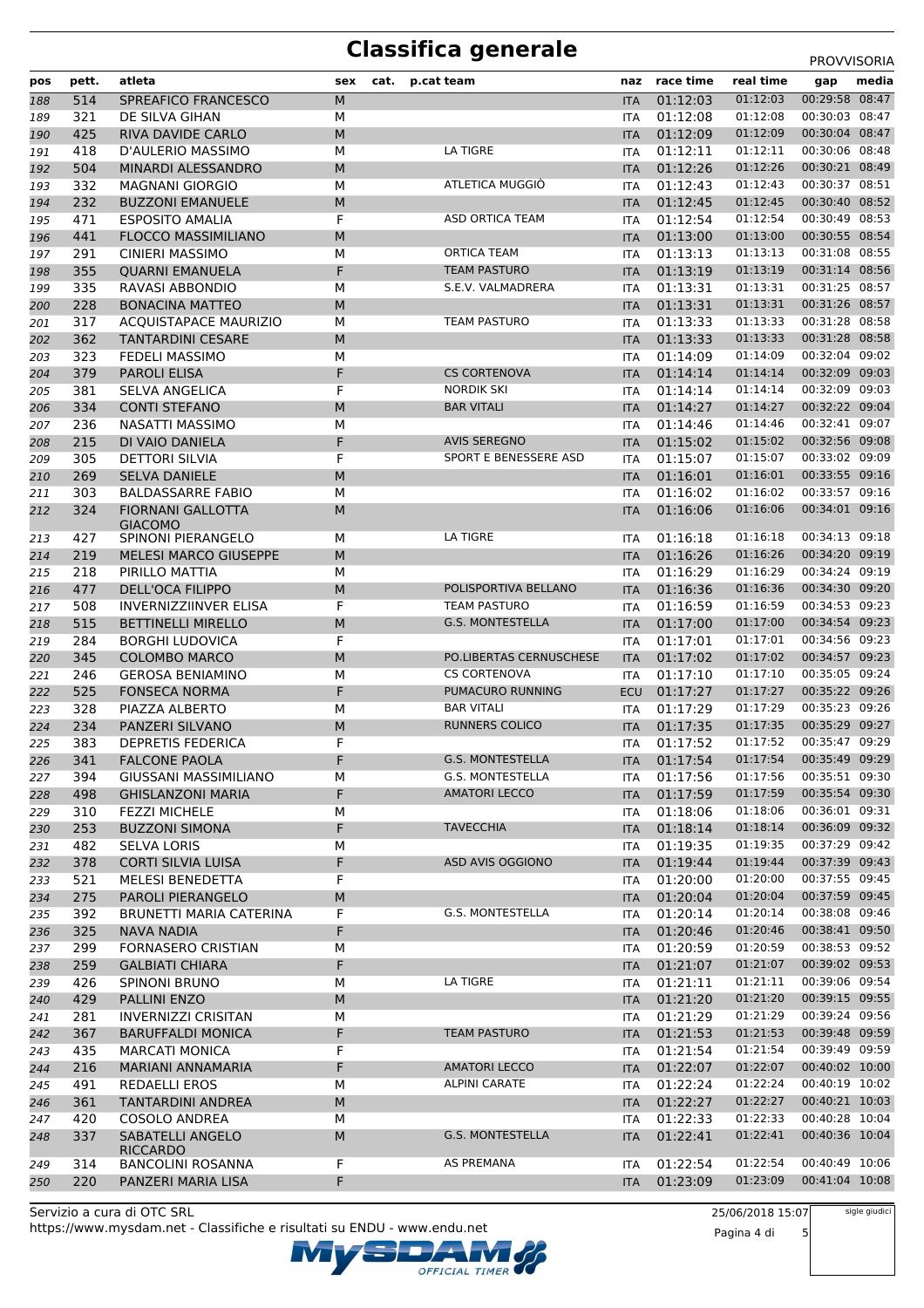# **Classifica generale** PROVVISORIA

| pos        | pett.      | atleta                                               | sex | cat. | p.cat team              | naz        | race time            | real time | gap            | media |
|------------|------------|------------------------------------------------------|-----|------|-------------------------|------------|----------------------|-----------|----------------|-------|
| 188        | 514        | SPREAFICO FRANCESCO                                  | M   |      |                         | <b>ITA</b> | 01:12:03             | 01:12:03  | 00:29:58 08:47 |       |
| 189        | 321        | DE SILVA GIHAN                                       | М   |      |                         | ITA        | 01:12:08             | 01:12:08  | 00:30:03 08:47 |       |
| 190        | 425        | RIVA DAVIDE CARLO                                    | M   |      |                         | <b>ITA</b> | 01:12:09             | 01:12:09  | 00:30:04 08:47 |       |
| 191        | 418        | D'AULERIO MASSIMO                                    | М   |      | LA TIGRE                | ITA        | 01:12:11             | 01:12:11  | 00:30:06 08:48 |       |
| 192        | 504        | <b>MINARDI ALESSANDRO</b>                            | M   |      |                         | <b>ITA</b> | 01:12:26             | 01:12:26  | 00:30:21 08:49 |       |
| 193        | 332        | <b>MAGNANI GIORGIO</b>                               | M   |      | ATLETICA MUGGIÓ         | <b>ITA</b> | 01:12:43             | 01:12:43  | 00:30:37 08:51 |       |
| 194        | 232        | <b>BUZZONI EMANUELE</b>                              | М   |      |                         | <b>ITA</b> | 01:12:45             | 01:12:45  | 00:30:40 08:52 |       |
| 195        | 471        | <b>ESPOSITO AMALIA</b>                               | F   |      | ASD ORTICA TEAM         | <b>ITA</b> | 01:12:54             | 01:12:54  | 00:30:49 08:53 |       |
| 196        | 441        | <b>FLOCCO MASSIMILIANO</b>                           | M   |      |                         | <b>ITA</b> | 01:13:00             | 01:13:00  | 00:30:55 08:54 |       |
| 197        | 291        | <b>CINIERI MASSIMO</b>                               | M   |      | ORTICA TEAM             | ITA        | 01:13:13             | 01:13:13  | 00:31:08 08:55 |       |
| 198        | 355        | <b>QUARNI EMANUELA</b>                               | F   |      | <b>TEAM PASTURO</b>     | <b>ITA</b> | 01:13:19             | 01:13:19  | 00:31:14 08:56 |       |
| 199        | 335        | <b>RAVASI ABBONDIO</b>                               | M   |      | S.E.V. VALMADRERA       | ITA        | 01:13:31             | 01:13:31  | 00:31:25 08:57 |       |
| 200        | 228        | <b>BONACINA MATTEO</b>                               | M   |      |                         | <b>ITA</b> | 01:13:31             | 01:13:31  | 00:31:26 08:57 |       |
| 201        | 317        | <b>ACQUISTAPACE MAURIZIO</b>                         | М   |      | <b>TEAM PASTURO</b>     | ITA        | 01:13:33             | 01:13:33  | 00:31:28 08:58 |       |
| 202        | 362        | <b>TANTARDINI CESARE</b>                             | М   |      |                         | <b>ITA</b> | 01:13:33             | 01:13:33  | 00:31:28 08:58 |       |
| 203        | 323        | <b>FEDELI MASSIMO</b>                                | М   |      |                         | ITA        | 01:14:09             | 01:14:09  | 00:32:04 09:02 |       |
| 204        | 379        | <b>PAROLI ELISA</b>                                  | F   |      | <b>CS CORTENOVA</b>     | <b>ITA</b> | 01:14:14             | 01:14:14  | 00:32:09 09:03 |       |
| 205        | 381        | SELVA ANGELICA                                       | F   |      | <b>NORDIK SKI</b>       | ITA        | 01:14:14             | 01:14:14  | 00:32:09 09:03 |       |
| 206        | 334        | <b>CONTI STEFANO</b>                                 | М   |      | <b>BAR VITALI</b>       | <b>ITA</b> | 01:14:27             | 01:14:27  | 00:32:22 09:04 |       |
| 207        | 236        | <b>NASATTI MASSIMO</b>                               | M   |      |                         | <b>ITA</b> | 01:14:46             | 01:14:46  | 00:32:41 09:07 |       |
| 208        | 215        | DI VAIO DANIELA                                      | F   |      | <b>AVIS SEREGNO</b>     | <b>ITA</b> | 01:15:02             | 01:15:02  | 00:32:56 09:08 |       |
| 209        | 305        | <b>DETTORI SILVIA</b>                                | F   |      | SPORT E BENESSERE ASD   | ITA        | 01:15:07             | 01:15:07  | 00:33:02 09:09 |       |
|            | 269        | <b>SELVA DANIELE</b>                                 | M   |      |                         |            | 01:16:01             | 01:16:01  | 00:33:55 09:16 |       |
| 210        |            |                                                      |     |      |                         | <b>ITA</b> |                      | 01:16:02  | 00:33:57 09:16 |       |
| 211        | 303        | <b>BALDASSARRE FABIO</b><br><b>FIORNANI GALLOTTA</b> | М   |      |                         | ITA        | 01:16:02             |           |                |       |
| 212        | 324        | <b>GIACOMO</b>                                       | M   |      |                         | <b>ITA</b> | 01:16:06             | 01:16:06  | 00:34:01 09:16 |       |
| 213        | 427        | SPINONI PIERANGELO                                   | М   |      | LA TIGRE                | <b>ITA</b> | 01:16:18             | 01:16:18  | 00:34:13 09:18 |       |
| 214        | 219        | <b>MELESI MARCO GIUSEPPE</b>                         | M   |      |                         | <b>ITA</b> | 01:16:26             | 01:16:26  | 00:34:20 09:19 |       |
| 215        | 218        | PIRILLO MATTIA                                       | М   |      |                         | ITA        | 01:16:29             | 01:16:29  | 00:34:24 09:19 |       |
| 216        | 477        | <b>DELL'OCA FILIPPO</b>                              | M   |      | POLISPORTIVA BELLANO    | <b>ITA</b> | 01:16:36             | 01:16:36  | 00:34:30 09:20 |       |
| 217        | 508        | <b>INVERNIZZIINVER ELISA</b>                         | F   |      | <b>TEAM PASTURO</b>     | ITA        | 01:16:59             | 01:16:59  | 00:34:53 09:23 |       |
| 218        | 515        | <b>BETTINELLI MIRELLO</b>                            | M   |      | <b>G.S. MONTESTELLA</b> | <b>ITA</b> | 01:17:00             | 01:17:00  | 00:34:54 09:23 |       |
| 219        | 284        | <b>BORGHI LUDOVICA</b>                               | F   |      |                         | ITA        | 01:17:01             | 01:17:01  | 00:34:56 09:23 |       |
| 220        | 345        | <b>COLOMBO MARCO</b>                                 | М   |      | PO.LIBERTAS CERNUSCHESE | <b>ITA</b> | 01:17:02             | 01:17:02  | 00:34:57 09:23 |       |
| 221        | 246        | <b>GEROSA BENIAMINO</b>                              | M   |      | <b>CS CORTENOVA</b>     | ITA        | 01:17:10             | 01:17:10  | 00:35:05 09:24 |       |
| 222        | 525        | <b>FONSECA NORMA</b>                                 | F   |      | PUMACURO RUNNING        | <b>ECU</b> | 01:17:27             | 01:17:27  | 00:35:22 09:26 |       |
| 223        | 328        | PIAZZA ALBERTO                                       | М   |      | <b>BAR VITALI</b>       | ITA        | 01:17:29             | 01:17:29  | 00:35:23 09:26 |       |
| 224        | 234        | PANZERI SILVANO                                      | М   |      | <b>RUNNERS COLICO</b>   | <b>ITA</b> | 01:17:35             | 01:17:35  | 00:35:29 09:27 |       |
| 225        | 383        | <b>DEPRETIS FEDERICA</b>                             | F   |      |                         | <b>ITA</b> | 01:17:52             | 01:17:52  | 00:35:47 09:29 |       |
| 226        | 341        | <b>FALCONE PAOLA</b>                                 | F   |      | <b>G.S. MONTESTELLA</b> | <b>ITA</b> | 01:17:54             | 01:17:54  | 00:35:49 09:29 |       |
|            |            |                                                      | М   |      | G.S. MONTESTELLA        |            |                      | 01:17:56  | 00:35:51 09:30 |       |
| 227<br>228 | 394<br>498 | GIUSSANI MASSIMILIANO<br><b>GHISLANZONI MARIA</b>    | F   |      | <b>AMATORI LECCO</b>    | ITA        | 01:17:56<br>01:17:59 | 01:17:59  | 00:35:54 09:30 |       |
|            |            |                                                      |     |      |                         | <b>ITA</b> |                      | 01:18:06  | 00:36:01 09:31 |       |
| 229        | 310        | <b>FEZZI MICHELE</b>                                 | М   |      | <b>TAVECCHIA</b>        | ITA        | 01:18:06             | 01:18:14  | 00:36:09 09:32 |       |
| 230        | 253        | <b>BUZZONI SIMONA</b>                                | F   |      |                         | <b>ITA</b> | 01:18:14             | 01:19:35  | 00:37:29 09:42 |       |
| 231        | 482        | <b>SELVA LORIS</b>                                   | М   |      |                         | ITA        | 01:19:35             |           |                |       |
| 232        | 378        | <b>CORTI SILVIA LUISA</b>                            | F   |      | ASD AVIS OGGIONO        | <b>ITA</b> | 01:19:44             | 01:19:44  | 00:37:39 09:43 |       |
| 233        | 521        | MELESI BENEDETTA                                     | F   |      |                         | ITA        | 01:20:00             | 01:20:00  | 00:37:55 09:45 |       |
| 234        | 275        | PAROLI PIERANGELO                                    | М   |      |                         | <b>ITA</b> | 01:20:04             | 01:20:04  | 00:37:59 09:45 |       |
| 235        | 392        | BRUNETTI MARIA CATERINA                              | F   |      | G.S. MONTESTELLA        | <b>ITA</b> | 01:20:14             | 01:20:14  | 00:38:08 09:46 |       |
| 236        | 325        | <b>NAVA NADIA</b>                                    | F   |      |                         | <b>ITA</b> | 01:20:46             | 01:20:46  | 00:38:41 09:50 |       |
| 237        | 299        | FORNASERO CRISTIAN                                   | М   |      |                         | ITA        | 01:20:59             | 01:20:59  | 00:38:53 09:52 |       |
| 238        | 259        | <b>GALBIATI CHIARA</b>                               | F   |      |                         | <b>ITA</b> | 01:21:07             | 01:21:07  | 00:39:02 09:53 |       |
| 239        | 426        | <b>SPINONI BRUNO</b>                                 | М   |      | LA TIGRE                | ITA        | 01:21:11             | 01:21:11  | 00:39:06 09:54 |       |
| 240        | 429        | <b>PALLINI ENZO</b>                                  | М   |      |                         | <b>ITA</b> | 01:21:20             | 01:21:20  | 00:39:15 09:55 |       |
| 241        | 281        | <b>INVERNIZZI CRISITAN</b>                           | М   |      |                         | ITA        | 01:21:29             | 01:21:29  | 00:39:24 09:56 |       |
| 242        | 367        | <b>BARUFFALDI MONICA</b>                             | F   |      | <b>TEAM PASTURO</b>     | <b>ITA</b> | 01:21:53             | 01:21:53  | 00:39:48 09:59 |       |
| 243        | 435        | <b>MARCATI MONICA</b>                                | F   |      |                         | ITA        | 01:21:54             | 01:21:54  | 00:39:49 09:59 |       |
| 244        | 216        | MARIANI ANNAMARIA                                    | F   |      | <b>AMATORI LECCO</b>    | <b>ITA</b> | 01:22:07             | 01:22:07  | 00:40:02 10:00 |       |
| 245        | 491        | <b>REDAELLI EROS</b>                                 | М   |      | <b>ALPINI CARATE</b>    | ITA        | 01:22:24             | 01:22:24  | 00:40:19 10:02 |       |
| 246        | 361        | TANTARDINI ANDREA                                    | М   |      |                         | <b>ITA</b> | 01:22:27             | 01:22:27  | 00:40:21 10:03 |       |
| 247        | 420        | COSOLO ANDREA                                        | М   |      |                         | ITA        | 01:22:33             | 01:22:33  | 00:40:28 10:04 |       |
| 248        | 337        | SABATELLI ANGELO                                     | М   |      | <b>G.S. MONTESTELLA</b> | <b>ITA</b> | 01:22:41             | 01:22:41  | 00:40:36 10:04 |       |
|            |            | <b>RICCARDO</b>                                      |     |      |                         |            |                      |           |                |       |
| 249        | 314        | <b>BANCOLINI ROSANNA</b>                             | F   |      | AS PREMANA              | ITA        | 01:22:54             | 01:22:54  | 00:40:49 10:06 |       |
| 250        | 220        | PANZERI MARIA LISA                                   | F   |      |                         | <b>ITA</b> | 01:23:09             | 01:23:09  | 00:41:04 10:08 |       |

Servizio a cura di OTC SRL https://www.mysdam.net - Classifiche e risultati su ENDU - www.endu.net OFFICIAL TIMER 25/06/2018 15:07

Pagina 4 di 5 sigle giudici